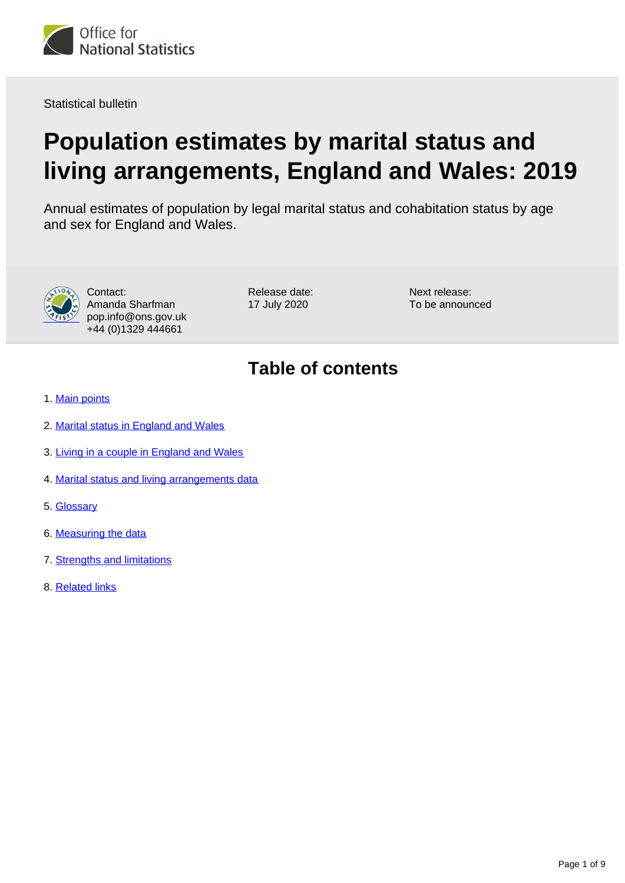

Statistical bulletin

# **Population estimates by marital status and living arrangements, England and Wales: 2019**

Annual estimates of population by legal marital status and cohabitation status by age and sex for England and Wales.



Contact: Amanda Sharfman pop.info@ons.gov.uk +44 (0)1329 444661

Release date: 17 July 2020

Next release: To be announced

## **Table of contents**

- 1. [Main points](#page-1-0)
- 2. [Marital status in England and Wales](#page-1-1)
- 3. [Living in a couple in England and Wales](#page-4-0)
- 4. [Marital status and living arrangements data](#page-6-0)
- 5. [Glossary](#page-6-1)
- 6. [Measuring the data](#page-6-2)
- 7. [Strengths and limitations](#page-7-0)
- 8. [Related links](#page-8-0)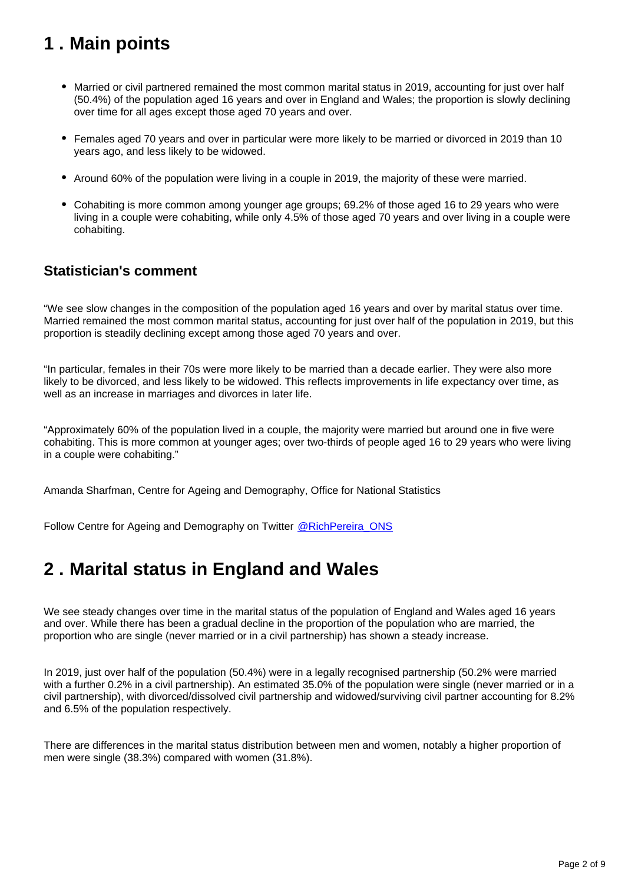## <span id="page-1-0"></span>**1 . Main points**

- Married or civil partnered remained the most common marital status in 2019, accounting for just over half (50.4%) of the population aged 16 years and over in England and Wales; the proportion is slowly declining over time for all ages except those aged 70 years and over.
- Females aged 70 years and over in particular were more likely to be married or divorced in 2019 than 10 years ago, and less likely to be widowed.
- Around 60% of the population were living in a couple in 2019, the majority of these were married.
- Cohabiting is more common among younger age groups; 69.2% of those aged 16 to 29 years who were living in a couple were cohabiting, while only 4.5% of those aged 70 years and over living in a couple were cohabiting.

### **Statistician's comment**

"We see slow changes in the composition of the population aged 16 years and over by marital status over time. Married remained the most common marital status, accounting for just over half of the population in 2019, but this proportion is steadily declining except among those aged 70 years and over.

"In particular, females in their 70s were more likely to be married than a decade earlier. They were also more likely to be divorced, and less likely to be widowed. This reflects improvements in life expectancy over time, as well as an increase in marriages and divorces in later life.

"Approximately 60% of the population lived in a couple, the majority were married but around one in five were cohabiting. This is more common at younger ages; over two-thirds of people aged 16 to 29 years who were living in a couple were cohabiting."

Amanda Sharfman, Centre for Ageing and Demography, Office for National Statistics

Follow Centre for Ageing and Demography on Twitter [@RichPereira\\_ONS](https://style.ons.gov.uk/category/statistical-bulletin/main-points-and-analysis/)

## <span id="page-1-1"></span>**2 . Marital status in England and Wales**

We see steady changes over time in the marital status of the population of England and Wales aged 16 years and over. While there has been a gradual decline in the proportion of the population who are married, the proportion who are single (never married or in a civil partnership) has shown a steady increase.

In 2019, just over half of the population (50.4%) were in a legally recognised partnership (50.2% were married with a further 0.2% in a civil partnership). An estimated 35.0% of the population were single (never married or in a civil partnership), with divorced/dissolved civil partnership and widowed/surviving civil partner accounting for 8.2% and 6.5% of the population respectively.

There are differences in the marital status distribution between men and women, notably a higher proportion of men were single (38.3%) compared with women (31.8%).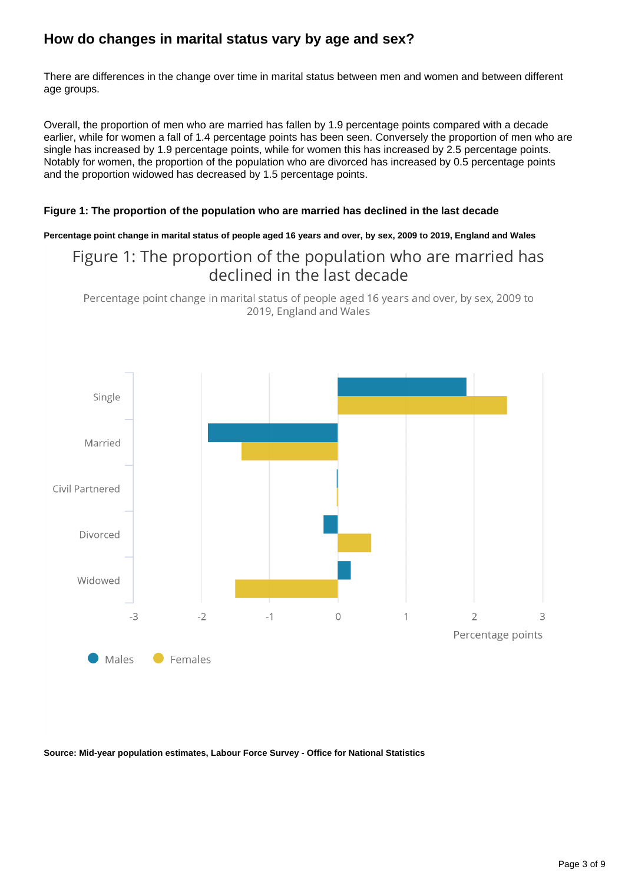### **How do changes in marital status vary by age and sex?**

There are differences in the change over time in marital status between men and women and between different age groups.

Overall, the proportion of men who are married has fallen by 1.9 percentage points compared with a decade earlier, while for women a fall of 1.4 percentage points has been seen. Conversely the proportion of men who are single has increased by 1.9 percentage points, while for women this has increased by 2.5 percentage points. Notably for women, the proportion of the population who are divorced has increased by 0.5 percentage points and the proportion widowed has decreased by 1.5 percentage points.

#### **Figure 1: The proportion of the population who are married has declined in the last decade**

#### **Percentage point change in marital status of people aged 16 years and over, by sex, 2009 to 2019, England and Wales**

### Figure 1: The proportion of the population who are married has declined in the last decade

Percentage point change in marital status of people aged 16 years and over, by sex, 2009 to 2019, England and Wales



**Source: Mid-year population estimates, Labour Force Survey - Office for National Statistics**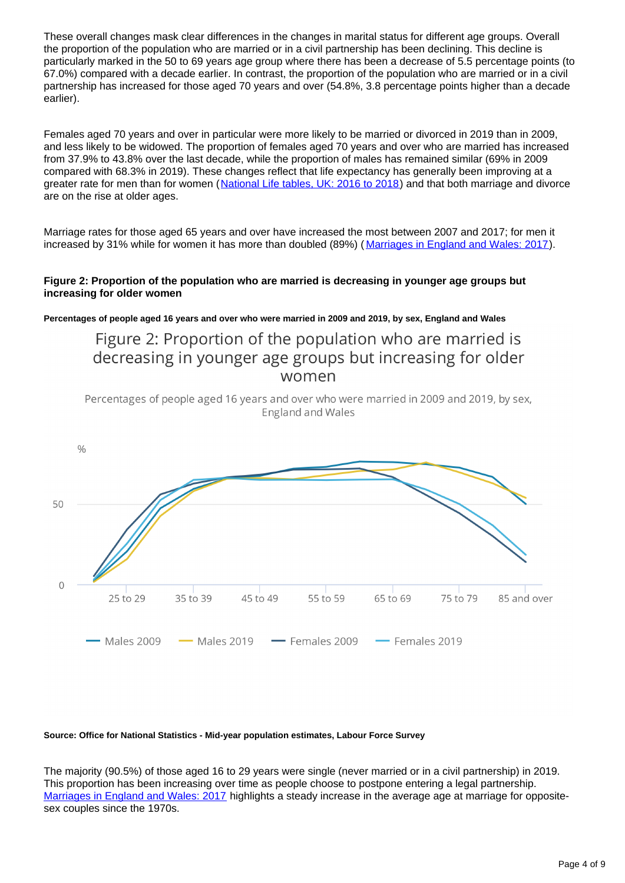These overall changes mask clear differences in the changes in marital status for different age groups. Overall the proportion of the population who are married or in a civil partnership has been declining. This decline is particularly marked in the 50 to 69 years age group where there has been a decrease of 5.5 percentage points (to 67.0%) compared with a decade earlier. In contrast, the proportion of the population who are married or in a civil partnership has increased for those aged 70 years and over (54.8%, 3.8 percentage points higher than a decade earlier).

Females aged 70 years and over in particular were more likely to be married or divorced in 2019 than in 2009, and less likely to be widowed. The proportion of females aged 70 years and over who are married has increased from 37.9% to 43.8% over the last decade, while the proportion of males has remained similar (69% in 2009 compared with 68.3% in 2019). These changes reflect that life expectancy has generally been improving at a greater rate for men than for women ([National Life tables, UK: 2016 to 2018\)](https://www.ons.gov.uk/peoplepopulationandcommunity/birthsdeathsandmarriages/lifeexpectancies/bulletins/nationallifetablesunitedkingdom/2016to2018) and that both marriage and divorce are on the rise at older ages.

Marriage rates for those aged 65 years and over have increased the most between 2007 and 2017; for men it increased by 31% while for women it has more than doubled (89%) ([Marriages in England and Wales: 2017](https://www.ons.gov.uk/peoplepopulationandcommunity/birthsdeathsandmarriages/marriagecohabitationandcivilpartnerships/bulletins/marriagesinenglandandwalesprovisional/2017#age-at-marriage)).

#### **Figure 2: Proportion of the population who are married is decreasing in younger age groups but increasing for older women**

**Percentages of people aged 16 years and over who were married in 2009 and 2019, by sex, England and Wales**

### Figure 2: Proportion of the population who are married is decreasing in younger age groups but increasing for older women

Percentages of people aged 16 years and over who were married in 2009 and 2019, by sex, **England and Wales** 



#### **Source: Office for National Statistics - Mid-year population estimates, Labour Force Survey**

The majority (90.5%) of those aged 16 to 29 years were single (never married or in a civil partnership) in 2019. This proportion has been increasing over time as people choose to postpone entering a legal partnership. [Marriages in England and Wales: 2017](https://www.ons.gov.uk/peoplepopulationandcommunity/birthsdeathsandmarriages/marriagecohabitationandcivilpartnerships/bulletins/marriagesinenglandandwalesprovisional/2017) highlights a steady increase in the average age at marriage for oppositesex couples since the 1970s.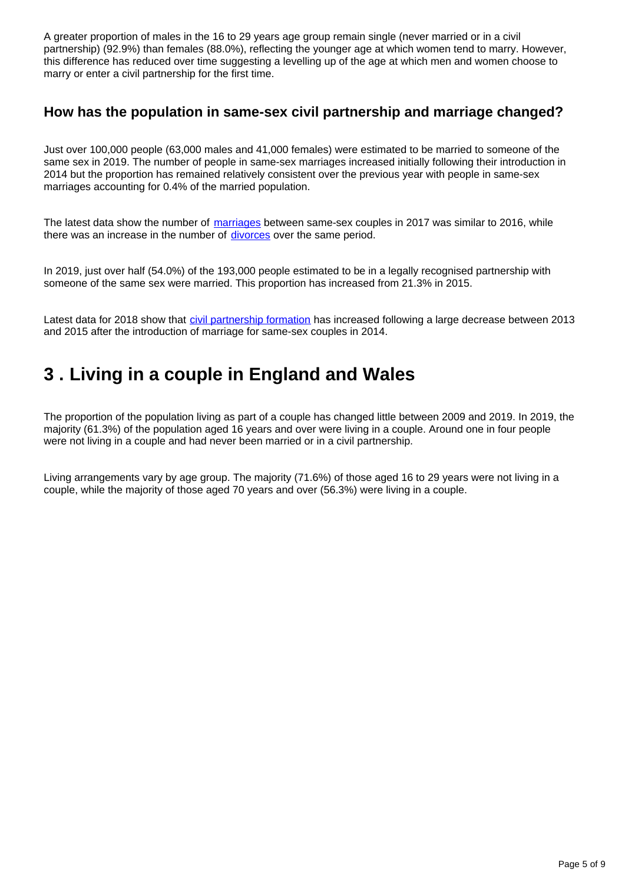A greater proportion of males in the 16 to 29 years age group remain single (never married or in a civil partnership) (92.9%) than females (88.0%), reflecting the younger age at which women tend to marry. However, this difference has reduced over time suggesting a levelling up of the age at which men and women choose to marry or enter a civil partnership for the first time.

### **How has the population in same-sex civil partnership and marriage changed?**

Just over 100,000 people (63,000 males and 41,000 females) were estimated to be married to someone of the same sex in 2019. The number of people in same-sex marriages increased initially following their introduction in 2014 but the proportion has remained relatively consistent over the previous year with people in same-sex marriages accounting for 0.4% of the married population.

The latest data show the number of [marriages](https://www.ons.gov.uk/peoplepopulationandcommunity/birthsdeathsandmarriages/marriagecohabitationandcivilpartnerships/bulletins/marriagesinenglandandwalesprovisional/2017#numbers-and-rates) between same-sex couples in 2017 was similar to 2016, while there was an increase in the number of [divorces](https://www.ons.gov.uk/peoplepopulationandcommunity/birthsdeathsandmarriages/divorce/bulletins/divorcesinenglandandwales/2018) over the same period.

In 2019, just over half (54.0%) of the 193,000 people estimated to be in a legally recognised partnership with someone of the same sex were married. This proportion has increased from 21.3% in 2015.

Latest data for 2018 show that *[civil partnership formation](https://www.ons.gov.uk/peoplepopulationandcommunity/birthsdeathsandmarriages/marriagecohabitationandcivilpartnerships/bulletins/civilpartnershipsinenglandandwales/2018)* has increased following a large decrease between 2013 and 2015 after the introduction of marriage for same-sex couples in 2014.

## <span id="page-4-0"></span>**3 . Living in a couple in England and Wales**

The proportion of the population living as part of a couple has changed little between 2009 and 2019. In 2019, the majority (61.3%) of the population aged 16 years and over were living in a couple. Around one in four people were not living in a couple and had never been married or in a civil partnership.

Living arrangements vary by age group. The majority (71.6%) of those aged 16 to 29 years were not living in a couple, while the majority of those aged 70 years and over (56.3%) were living in a couple.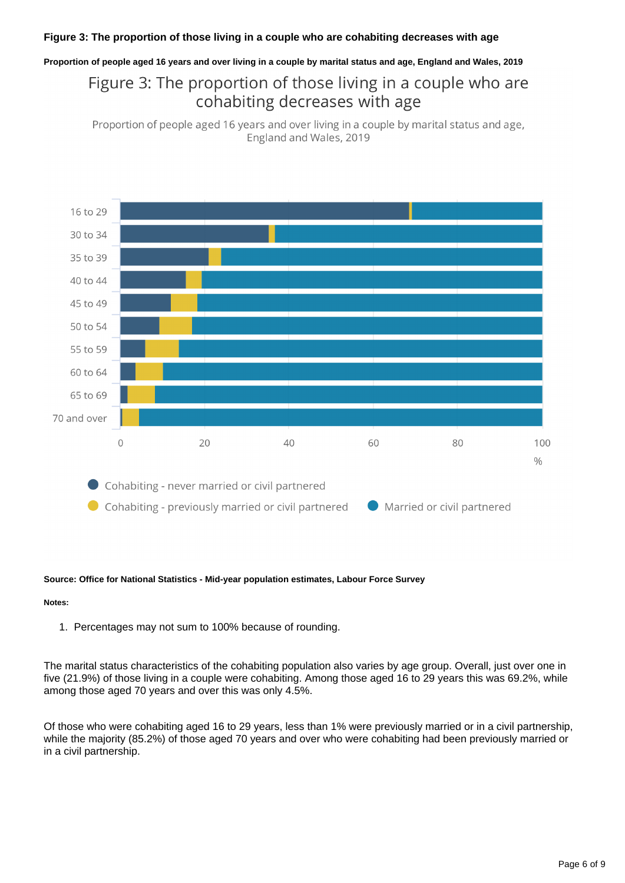#### **Figure 3: The proportion of those living in a couple who are cohabiting decreases with age**

**Proportion of people aged 16 years and over living in a couple by marital status and age, England and Wales, 2019**

## Figure 3: The proportion of those living in a couple who are cohabiting decreases with age

Proportion of people aged 16 years and over living in a couple by marital status and age, England and Wales, 2019



#### **Source: Office for National Statistics - Mid-year population estimates, Labour Force Survey**

#### **Notes:**

1. Percentages may not sum to 100% because of rounding.

The marital status characteristics of the cohabiting population also varies by age group. Overall, just over one in five (21.9%) of those living in a couple were cohabiting. Among those aged 16 to 29 years this was 69.2%, while among those aged 70 years and over this was only 4.5%.

Of those who were cohabiting aged 16 to 29 years, less than 1% were previously married or in a civil partnership, while the majority (85.2%) of those aged 70 years and over who were cohabiting had been previously married or in a civil partnership.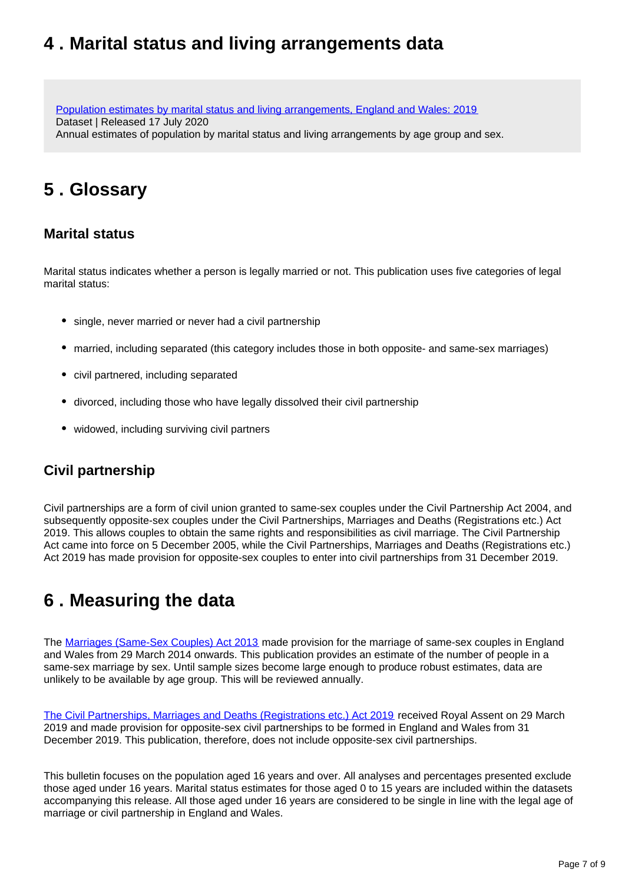## <span id="page-6-0"></span>**4 . Marital status and living arrangements data**

[Population estimates by marital status and living arrangements, England and Wales: 2019](https://www.ons.gov.uk/peoplepopulationandcommunity/populationandmigration/populationestimates/datasets/populationestimatesbymaritalstatusandlivingarrangements) Dataset | Released 17 July 2020 Annual estimates of population by marital status and living arrangements by age group and sex.

## <span id="page-6-1"></span>**5 . Glossary**

### **Marital status**

Marital status indicates whether a person is legally married or not. This publication uses five categories of legal marital status:

- single, never married or never had a civil partnership
- married, including separated (this category includes those in both opposite- and same-sex marriages)
- civil partnered, including separated
- divorced, including those who have legally dissolved their civil partnership
- widowed, including surviving civil partners

### **Civil partnership**

Civil partnerships are a form of civil union granted to same-sex couples under the Civil Partnership Act 2004, and subsequently opposite-sex couples under the Civil Partnerships, Marriages and Deaths (Registrations etc.) Act 2019. This allows couples to obtain the same rights and responsibilities as civil marriage. The Civil Partnership Act came into force on 5 December 2005, while the Civil Partnerships, Marriages and Deaths (Registrations etc.) Act 2019 has made provision for opposite-sex couples to enter into civil partnerships from 31 December 2019.

## <span id="page-6-2"></span>**6 . Measuring the data**

The [Marriages \(Same-Sex Couples\) Act 2013](http://www.legislation.gov.uk/ukpga/2013/30/contents/enacted/data.htm) made provision for the marriage of same-sex couples in England and Wales from 29 March 2014 onwards. This publication provides an estimate of the number of people in a same-sex marriage by sex. Until sample sizes become large enough to produce robust estimates, data are unlikely to be available by age group. This will be reviewed annually.

[The Civil Partnerships, Marriages and Deaths \(Registrations etc.\) Act 2019](http://www.legislation.gov.uk/ukpga/2019/12/contents/enacted) received Royal Assent on 29 March 2019 and made provision for opposite-sex civil partnerships to be formed in England and Wales from 31 December 2019. This publication, therefore, does not include opposite-sex civil partnerships.

This bulletin focuses on the population aged 16 years and over. All analyses and percentages presented exclude those aged under 16 years. Marital status estimates for those aged 0 to 15 years are included within the datasets accompanying this release. All those aged under 16 years are considered to be single in line with the legal age of marriage or civil partnership in England and Wales.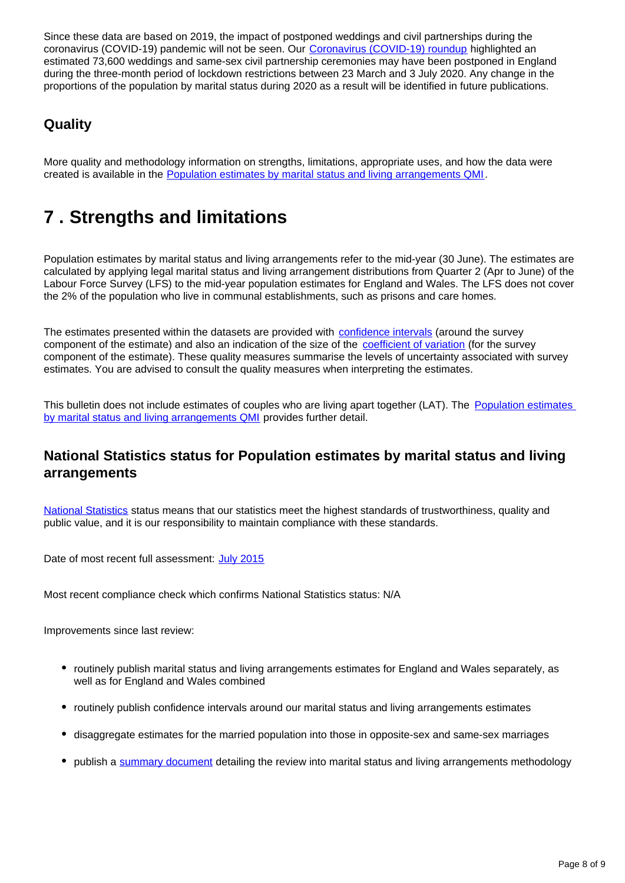Since these data are based on 2019, the impact of postponed weddings and civil partnerships during the coronavirus (COVID-19) pandemic will not be seen. Our [Coronavirus \(COVID-19\) roundup](https://www.ons.gov.uk/peoplepopulationandcommunity/healthandsocialcare/conditionsanddiseases/articles/coronaviruscovid19roundup/2020-03-26#wedding) highlighted an estimated 73,600 weddings and same-sex civil partnership ceremonies may have been postponed in England during the three-month period of lockdown restrictions between 23 March and 3 July 2020. Any change in the proportions of the population by marital status during 2020 as a result will be identified in future publications.

### **Quality**

More quality and methodology information on strengths, limitations, appropriate uses, and how the data were created is available in the [Population estimates by marital status and living arrangements QMI](https://www.ons.gov.uk/peoplepopulationandcommunity/populationandmigration/populationestimates/methodologies/populationestimatesbymaritalstatusandlivingarrangementsqmi).

## <span id="page-7-0"></span>**7 . Strengths and limitations**

Population estimates by marital status and living arrangements refer to the mid-year (30 June). The estimates are calculated by applying legal marital status and living arrangement distributions from Quarter 2 (Apr to June) of the Labour Force Survey (LFS) to the mid-year population estimates for England and Wales. The LFS does not cover the 2% of the population who live in communal establishments, such as prisons and care homes.

The estimates presented within the datasets are provided with [confidence intervals](https://www.ons.gov.uk/methodology/methodologytopicsandstatisticalconcepts/uncertaintyandhowwemeasureit#confidence-interval) (around the survey component of the estimate) and also an indication of the size of the [coefficient of variation](https://www.ons.gov.uk/methodology/methodologytopicsandstatisticalconcepts/uncertaintyandhowwemeasureit#coefficient-of-variation) (for the survey component of the estimate). These quality measures summarise the levels of uncertainty associated with survey estimates. You are advised to consult the quality measures when interpreting the estimates.

This bulletin does not include estimates of couples who are living apart together (LAT). The Population estimates [by marital status and living arrangements QMI](https://www.ons.gov.uk/peoplepopulationandcommunity/populationandmigration/populationestimates/methodologies/populationestimatesbymaritalstatusandlivingarrangementsqmi) provides further detail.

### **National Statistics status for Population estimates by marital status and living arrangements**

[National Statistics](https://osr.statisticsauthority.gov.uk/osr/list-of-national-statistics/) status means that our statistics meet the highest standards of trustworthiness, quality and public value, and it is our responsibility to maintain compliance with these standards.

Date of most recent full assessment: [July 2015](https://uksa.statisticsauthority.gov.uk/publication/population-estimates-and-projections/)

Most recent compliance check which confirms National Statistics status: N/A

Improvements since last review:

- routinely publish marital status and living arrangements estimates for England and Wales separately, as well as for England and Wales combined
- routinely publish confidence intervals around our marital status and living arrangements estimates
- disaggregate estimates for the married population into those in opposite-sex and same-sex marriages
- publish a [summary document](https://www.ons.gov.uk/peoplepopulationandcommunity/populationandmigration/populationestimates/methodologies/detailsandresultsoftheinternalreviewleadingtochangesinthemethodology) detailing the review into marital status and living arrangements methodology